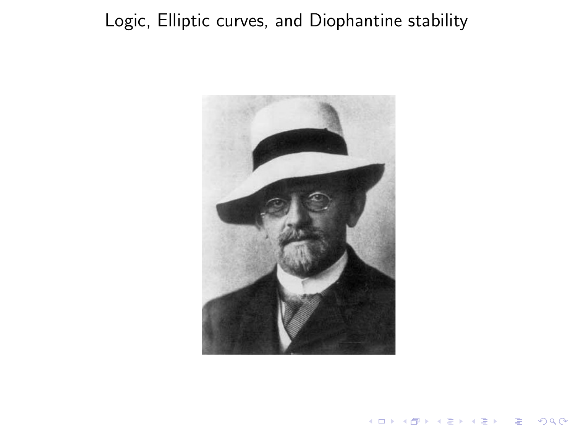#### <span id="page-0-0"></span>Logic, Elliptic curves, and Diophantine stability



 $290$ 

È

K ロメ K 御 X K 君 X K 君 X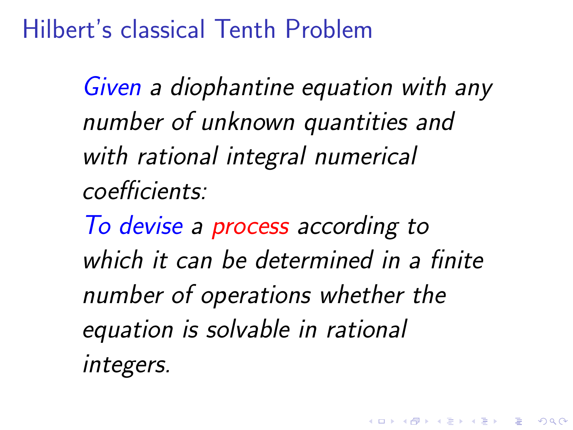Hilbert's classical Tenth Problem

Given a diophantine equation with any number of unknown quantities and with rational integral numerical coefficients:

To devise a process according to which it can be determined in a finite number of operations whether the equation is solvable in rational integers.

4 D > 4 P + 4 B + 4 B + B + 9 Q O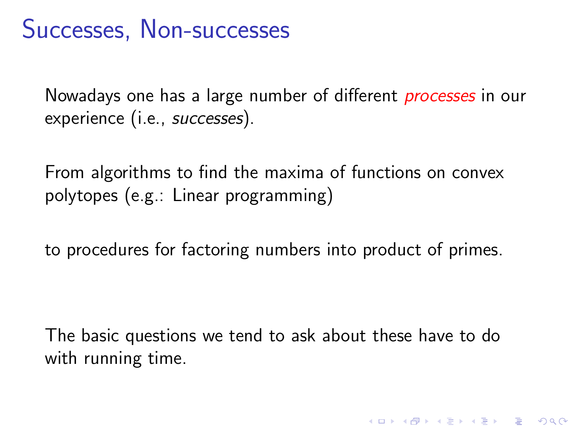### Successes, Non-successes

Nowadays one has a large number of different *processes* in our experience (i.e., successes).

From algorithms to find the maxima of functions on convex polytopes (e.g.: Linear programming)

to procedures for factoring numbers into product of primes.

The basic questions we tend to ask about these have to do with running time.

**KORK ERKER ADE YOUR**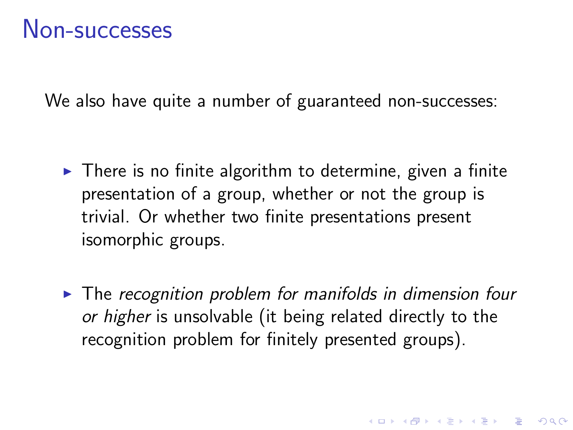We also have quite a number of guaranteed non-successes:

- $\triangleright$  There is no finite algorithm to determine, given a finite presentation of a group, whether or not the group is trivial. Or whether two finite presentations present isomorphic groups.
- $\triangleright$  The recognition problem for manifolds in dimension four or higher is unsolvable (it being related directly to the recognition problem for finitely presented groups).

**K ロ ▶ K @ ▶ K 할 X X 할 X → 할 X → 9 Q Q ^**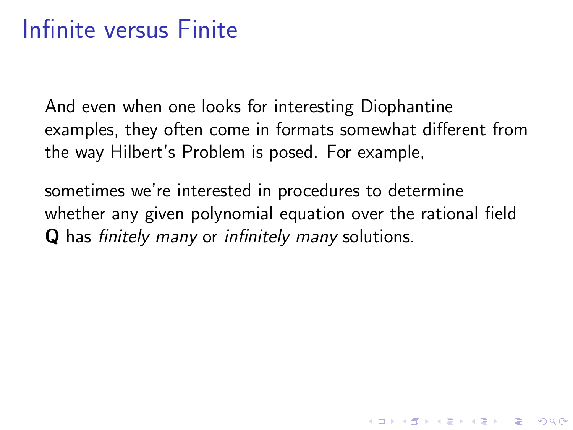# Infinite versus Finite

And even when one looks for interesting Diophantine examples, they often come in formats somewhat different from the way Hilbert's Problem is posed. For example,

sometimes we're interested in procedures to determine whether any given polynomial equation over the rational field Q has finitely many or infinitely many solutions.

**KORK ERKER ADE YOUR**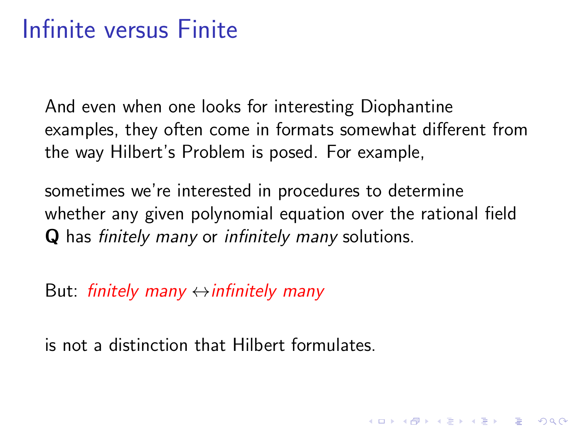# Infinite versus Finite

And even when one looks for interesting Diophantine examples, they often come in formats somewhat different from the way Hilbert's Problem is posed. For example,

sometimes we're interested in procedures to determine whether any given polynomial equation over the rational field Q has finitely many or infinitely many solutions.

**KORKAR KERKER EL VOLO** 

But: finitely many  $\leftrightarrow$  infinitely many

is not a distinction that Hilbert formulates.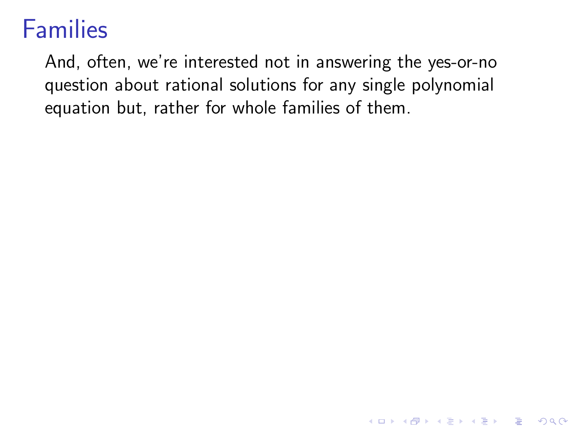## Families

And, often, we're interested not in answering the yes-or-no question about rational solutions for any single polynomial equation but, rather for whole families of them.

K ロ ▶ K @ ▶ K 할 > K 할 > 1 할 > 1 이익어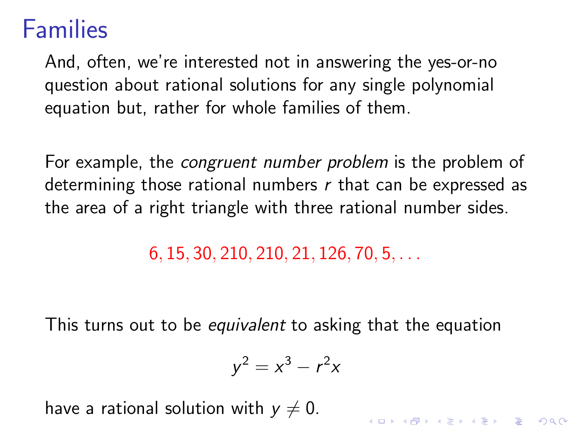### Families

And, often, we're interested not in answering the yes-or-no question about rational solutions for any single polynomial equation but, rather for whole families of them.

For example, the *congruent number problem* is the problem of determining those rational numbers  $r$  that can be expressed as the area of a right triangle with three rational number sides.

6, 15, 30, 210, 210, 21, 126, 70, 5, . . .

This turns out to be *equivalent* to asking that the equation

$$
y^2 = x^3 - r^2x
$$

KID KA KERKER KID KO

have a rational solution with  $y \neq 0$ .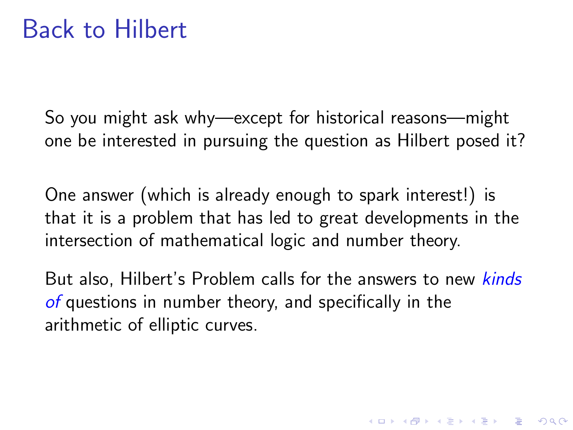So you might ask why—except for historical reasons—might one be interested in pursuing the question as Hilbert posed it?

One answer (which is already enough to spark interest!) is that it is a problem that has led to great developments in the intersection of mathematical logic and number theory.

But also, Hilbert's Problem calls for the answers to new *kinds* of questions in number theory, and specifically in the arithmetic of elliptic curves.

4 D > 4 P + 4 B + 4 B + B + 9 Q O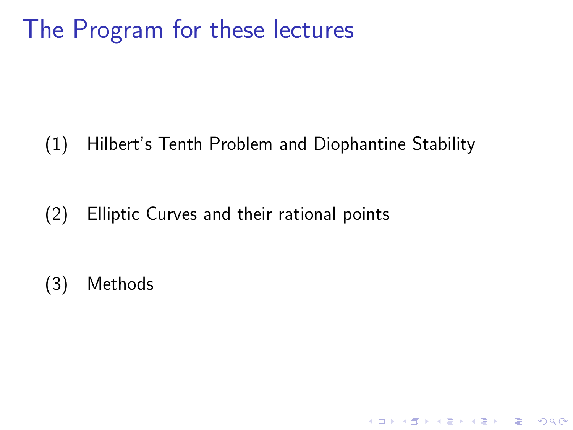# The Program for these lectures

(1) Hilbert's Tenth Problem and Diophantine Stability

K ロ ▶ K @ ▶ K 할 ▶ K 할 ▶ 이 할 → 9 Q @

(2) Elliptic Curves and their rational points

(3) Methods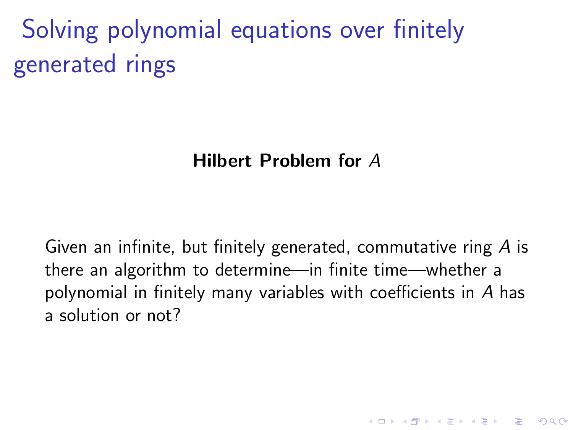Solving polynomial equations over finitely generated rings

#### Hilbert Problem for A

Given an infinite, but finitely generated, commutative ring A is there an algorithm to determine—in finite time—whether a polynomial in finitely many variables with coefficients in A has a solution or not?

**KORK ERKER ADE YOUR**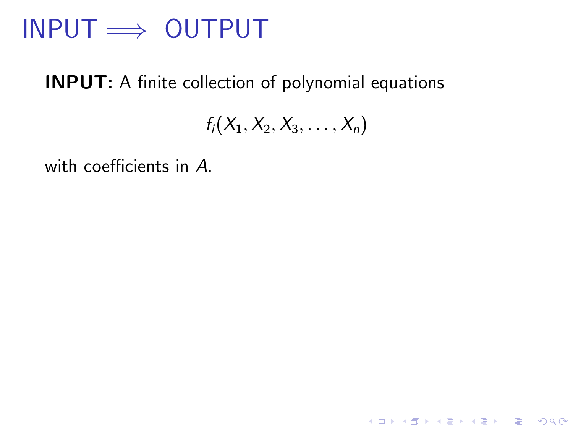### $INPUT \implies OUTPUT$

#### INPUT: A finite collection of polynomial equations

 $f_i(X_1, X_2, X_3, \ldots, X_n)$ 

with coefficients in A.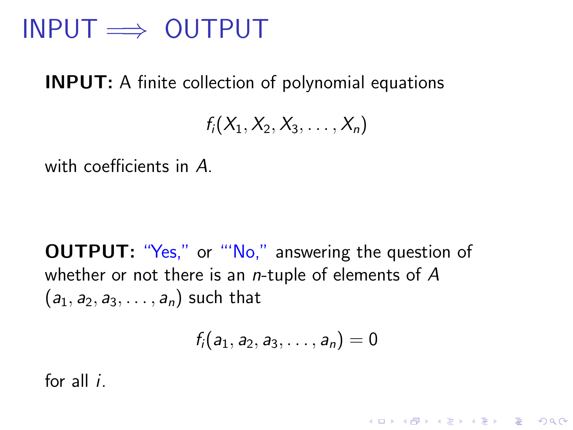### $INPUT \implies \text{OUTPUT}$

INPUT: A finite collection of polynomial equations

 $f_i(X_1, X_2, X_3, \ldots, X_n)$ 

with coefficients in A.

**OUTPUT:** "Yes," or "'No," answering the question of whether or not there is an  $n$ -tuple of elements of  $A$  $(a_1, a_2, a_3, \ldots, a_n)$  such that

$$
f_i(a_1,a_2,a_3,\ldots,a_n)=0
$$

**KORK ERKER ADE YOUR** 

for all i.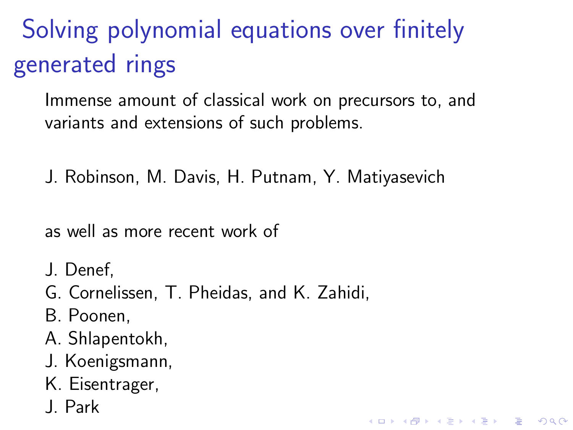Solving polynomial equations over finitely generated rings

Immense amount of classical work on precursors to, and variants and extensions of such problems.

**KORK ERKER ADE YOUR** 

J. Robinson, M. Davis, H. Putnam, Y. Matiyasevich

as well as more recent work of

- J. Denef,
- G. Cornelissen, T. Pheidas, and K. Zahidi,
- B. Poonen,
- A. Shlapentokh,
- J. Koenigsmann,
- K. Eisentrager,
- J. Park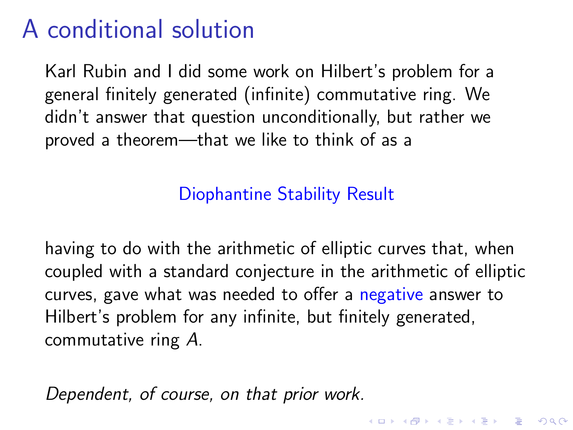# A conditional solution

Karl Rubin and I did some work on Hilbert's problem for a general finitely generated (infinite) commutative ring. We didn't answer that question unconditionally, but rather we proved a theorem—that we like to think of as a

#### Diophantine Stability Result

having to do with the arithmetic of elliptic curves that, when coupled with a standard conjecture in the arithmetic of elliptic curves, gave what was needed to offer a negative answer to Hilbert's problem for any infinite, but finitely generated, commutative ring A.

Dependent, of course, on that prior work.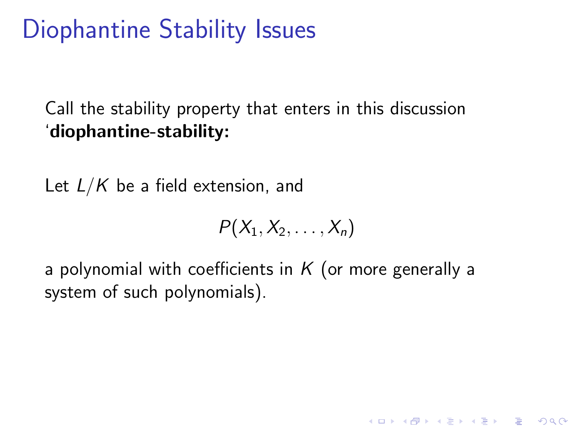# Diophantine Stability Issues

#### Call the stability property that enters in this discussion 'diophantine-stability:

Let  $L/K$  be a field extension, and

$$
P(X_1, X_2, \ldots, X_n)
$$

a polynomial with coefficients in  $K$  (or more generally a system of such polynomials).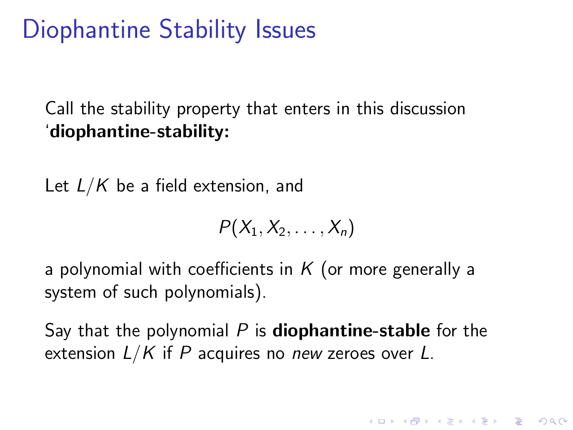# Diophantine Stability Issues

#### Call the stability property that enters in this discussion 'diophantine-stability:

Let  $L/K$  be a field extension, and

$$
P(X_1, X_2, \ldots, X_n)
$$

a polynomial with coefficients in  $K$  (or more generally a system of such polynomials).

Say that the polynomial  $P$  is **diophantine-stable** for the extension  $L/K$  if P acquires no new zeroes over L.

**KORKAR KERKER EL VOLO**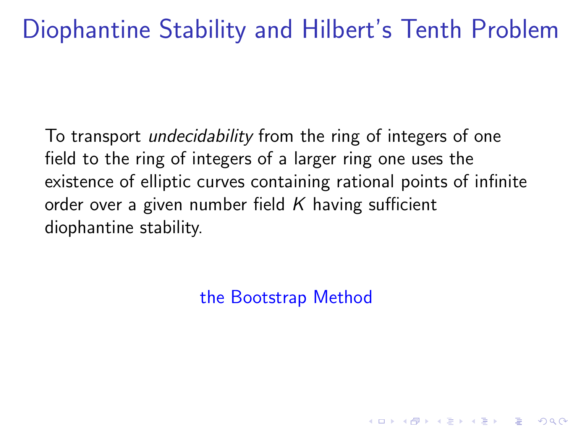# Diophantine Stability and Hilbert's Tenth Problem

To transport undecidability from the ring of integers of one field to the ring of integers of a larger ring one uses the existence of elliptic curves containing rational points of infinite order over a given number field  $K$  having sufficient diophantine stability.

the Bootstrap Method

**K ロ ▶ K @ ▶ K 할 X X 할 X → 할 X → 9 Q Q ^**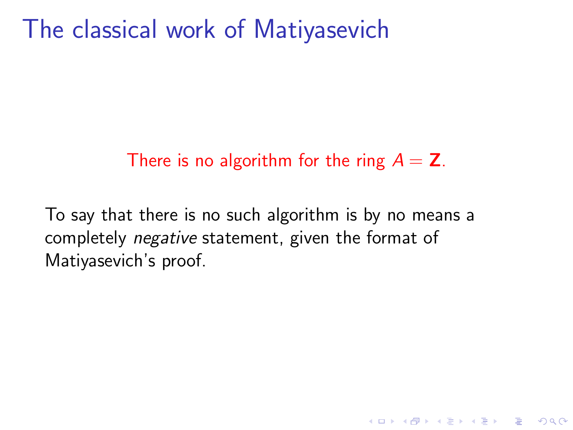The classical work of Matiyasevich

#### There is no algorithm for the ring  $A = Z$ .

**KORK ERKER ADE YOUR** 

To say that there is no such algorithm is by no means a completely negative statement, given the format of Matiyasevich's proof.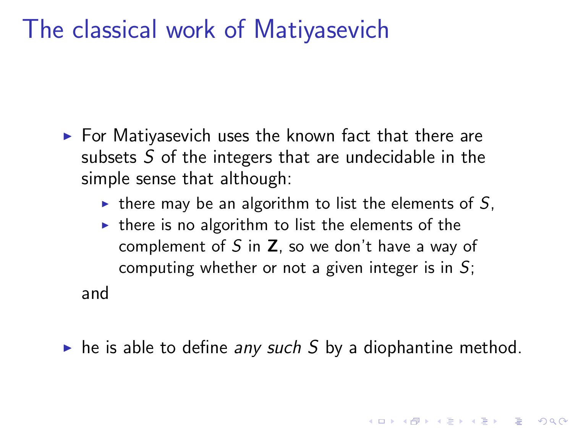### The classical work of Matiyasevich

- $\blacktriangleright$  For Matiyasevich uses the known fact that there are subsets  $S$  of the integers that are undecidable in the simple sense that although:
	- $\triangleright$  there may be an algorithm to list the elements of S,
	- $\triangleright$  there is no algorithm to list the elements of the complement of S in  $Z$ , so we don't have a way of computing whether or not a given integer is in  $S$ ;

and

 $\triangleright$  he is able to define any such S by a diophantine method.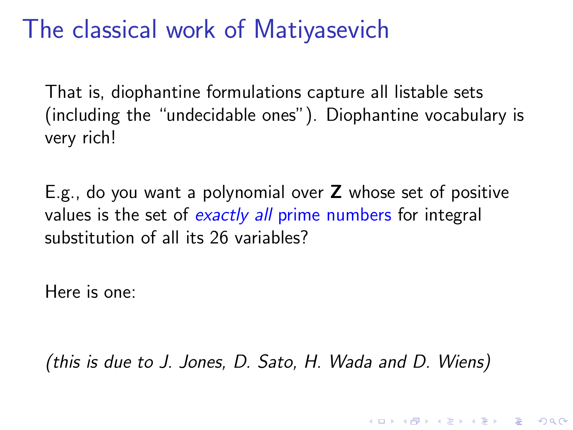## The classical work of Matiyasevich

That is, diophantine formulations capture all listable sets (including the "undecidable ones"). Diophantine vocabulary is very rich!

E.g., do you want a polynomial over Z whose set of positive values is the set of exactly all prime numbers for integral substitution of all its 26 variables?

Here is one:

(this is due to J. Jones, D. Sato, H. Wada and D. Wiens)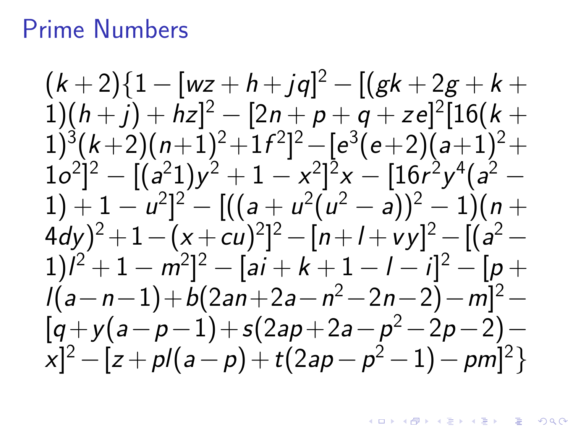### Prime Numbers

 $(k+2)\{1-[wz+h+jq]^2-[(gk+2g+k+1)]\}$  $(1)(h+j)+hz]^2-[2n+p+q+ze]^2[16(k+$  $(1)^3(k+2)(n+1)^2+1f^2]^2-[e^3(e+2)(a+1)^2+$  $[1o^2]^2-[(a^21)y^2+1-x^2]^2x-[16r^2y^4(a^2-1)]$  $(1) + 1 - u^2$ ]<sup>2</sup> –  $[((a + u^2(u^2 - a))^2 - 1)(n +$  $(3a^2-4c^2)y^2 + 1 - (x + cu)^2]^2 - [n+l+vy]^2 - [(a^2-4c^2)y^2]$  $(1)l^2 + 1 - m^2l^2 - [ai + k + 1 - l - i]^2 - [p +$  $l(a-n-1)+b(2an+2a-n^2-2n-2)-m]^2 [q+y(a-p-1)+s(2ap+2a-p^2-2p-2) [x]^2 - [z + p/(a-p) + t(2ap - p^2 - 1) - pm]^2$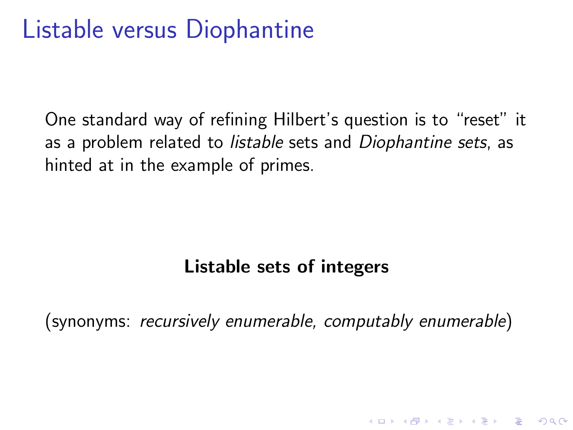# Listable versus Diophantine

One standard way of refining Hilbert's question is to "reset" it as a problem related to *listable* sets and *Diophantine sets*, as hinted at in the example of primes.

#### Listable sets of integers

(synonyms: recursively enumerable, computably enumerable)

**KORK ERKER ADE YOUR**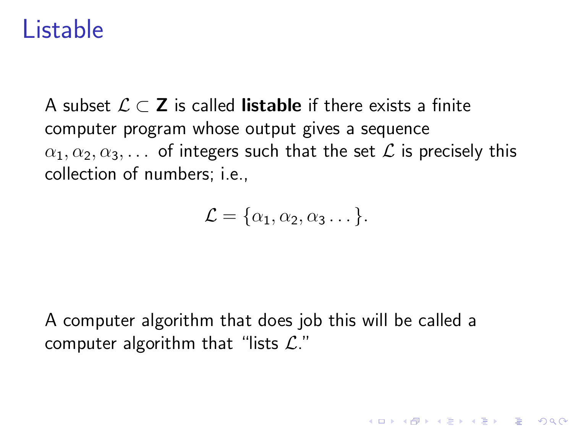### Listable

A subset  $\mathcal{L} \subset \mathbb{Z}$  is called **listable** if there exists a finite computer program whose output gives a sequence  $\alpha_1, \alpha_2, \alpha_3, \ldots$  of integers such that the set  $\mathcal L$  is precisely this collection of numbers; i.e.,

$$
\mathcal{L} = {\alpha_1, \alpha_2, \alpha_3 \dots}.
$$

**KORK ERKER ADE YOUR** 

A computer algorithm that does job this will be called a computer algorithm that "lists  $\mathcal{L}$ ."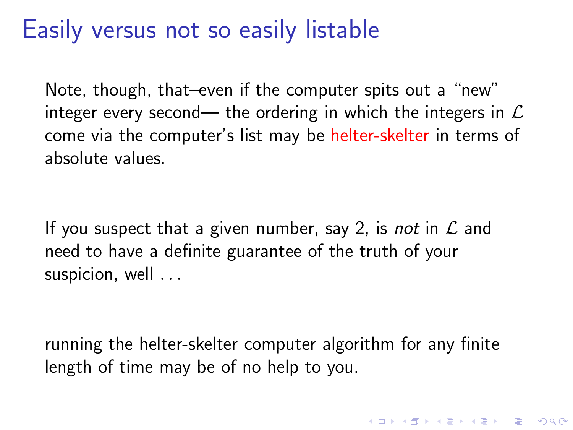## Easily versus not so easily listable

Note, though, that–even if the computer spits out a "new" integer every second— the ordering in which the integers in  $\mathcal L$ come via the computer's list may be helter-skelter in terms of absolute values.

If you suspect that a given number, say 2, is *not* in  $\mathcal L$  and need to have a definite guarantee of the truth of your suspicion, well ...

running the helter-skelter computer algorithm for any finite length of time may be of no help to you.

4 D > 4 P + 4 B + 4 B + B + 9 Q O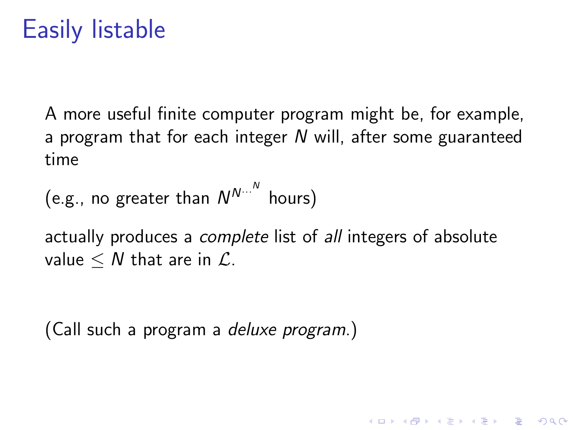# <span id="page-25-0"></span>Easily listable

A more useful finite computer program might be, for example, a program that for each integer N will, after some guaranteed time

(e.g., no greater than  $N^{N\cdots^N}$  hours)

actually produces a *complete* list of *all* integers of absolute value  $\leq N$  that are in  $\mathcal{L}$ .

**KORKAR KERKER EL VOLO** 

(Call such a program a deluxe program.)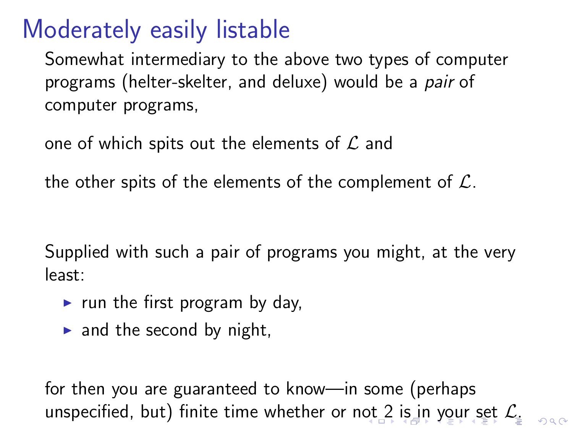# Moderately easily listable

Somewhat intermediary to the above two types of computer programs (helter-skelter, and deluxe) would be a pair of computer programs,

one of which spits out the elements of  $\mathcal L$  and

the other spits of the elements of the complement of  $\mathcal{L}$ .

Supplied with such a pair of programs you might, at the very least:

- $\triangleright$  run the first program by day,
- $\triangleright$  and the second by night,

for then you are guaranteed to know—in some (perhaps unspecified, but) finite time whether or n[ot](#page-25-0) [2 is in your set](#page-0-0)  $\mathcal{L}_1$  $\mathcal{L}_1$  $\mathcal{L}_1$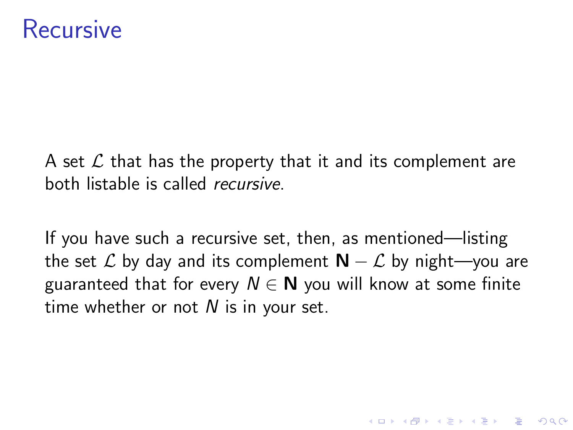### Recursive

A set  $\mathcal L$  that has the property that it and its complement are both listable is called recursive.

If you have such a recursive set, then, as mentioned—listing the set  $\mathcal L$  by day and its complement  $N - \mathcal L$  by night—you are guaranteed that for every  $N \in \mathbb{N}$  you will know at some finite time whether or not  $N$  is in your set.

**KORK ERKER ADE YOUR**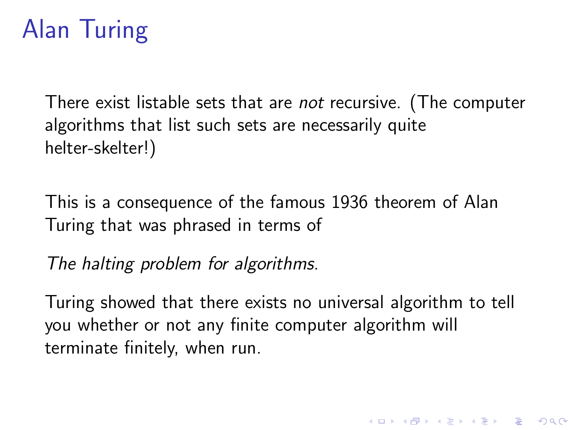# <span id="page-28-0"></span>Alan Turing

There exist listable sets that are not recursive. (The computer algorithms that list such sets are necessarily quite helter-skelter!)

This is a consequence of the famous 1936 theorem of Alan Turing that was phrased in terms of

The halting problem for algorithms.

Turing showed that there exists no universal algorithm to tell you whether or not any finite computer algorithm will terminate finitely, when run.

**K ロ ▶ K @ ▶ K 할 X X 할 X → 할 X → 9 Q Q ^**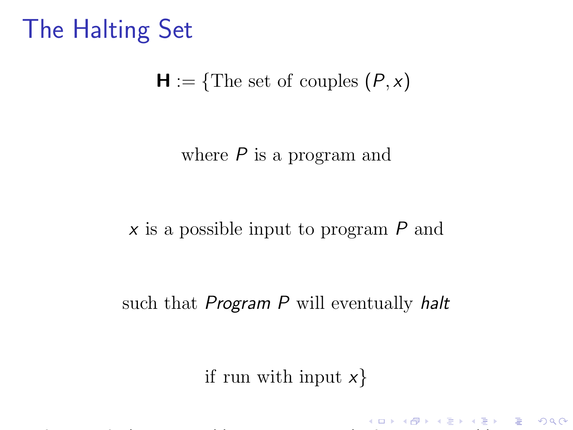# The Halting Set

#### $H := \{$ The set of couples  $(P, x)$

#### where  $P$  is a program and

#### x is a possible input to program P and

#### such that *Program P* will eventually halt

#### if run with input  $x$ }

**K ロ ▶ K @ ▶ K 할 X X 할 X → 할 X → 9 Q Q ^**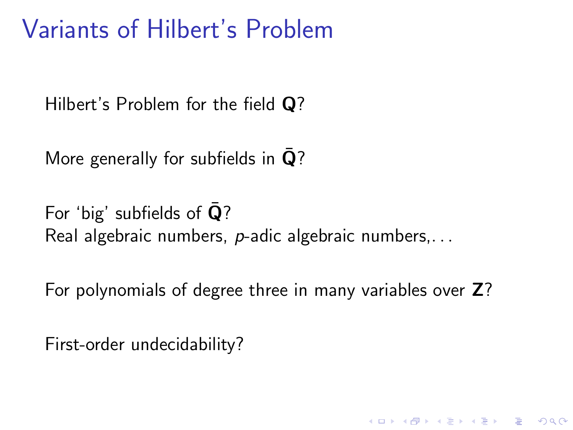### Variants of Hilbert's Problem

Hilbert's Problem for the field Q?

More generally for subfields in  $\mathbf{Q}$ ?

For 'big' subfields of  $\overline{Q}$ ? Real algebraic numbers, p-adic algebraic numbers,. . .

For polynomials of degree three in many variables over Z?

**KORK ERKER ADE YOUR** 

First-order undecidability?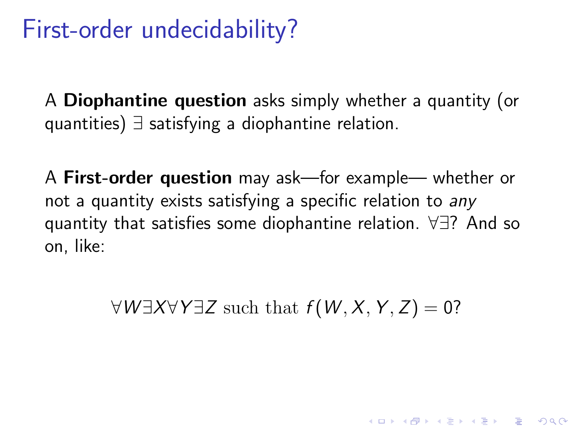## First-order undecidability?

A Diophantine question asks simply whether a quantity (or quantities) ∃ satisfying a diophantine relation.

A First-order question may ask—for example— whether or not a quantity exists satisfying a specific relation to any quantity that satisfies some diophantine relation. ∀∃? And so on, like:

 $\forall W \exists X \forall Y \exists Z \text{ such that } f(W, X, Y, Z) = 0?$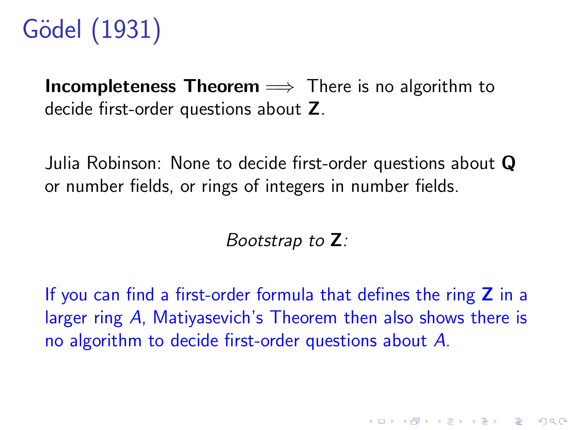# Gödel (1931)

**Incompleteness Theorem**  $\implies$  There is no algorithm to decide first-order questions about Z.

Julia Robinson: None to decide first-order questions about Q or number fields, or rings of integers in number fields.

Bootstrap to Z:

If you can find a first-order formula that defines the ring  $Z$  in a larger ring A, Matiyasevich's Theorem then also shows there is no algorithm to decide first-order questions about A.

**K ロ ▶ K @ ▶ K 할 X X 할 X → 할 X → 9 Q Q ^**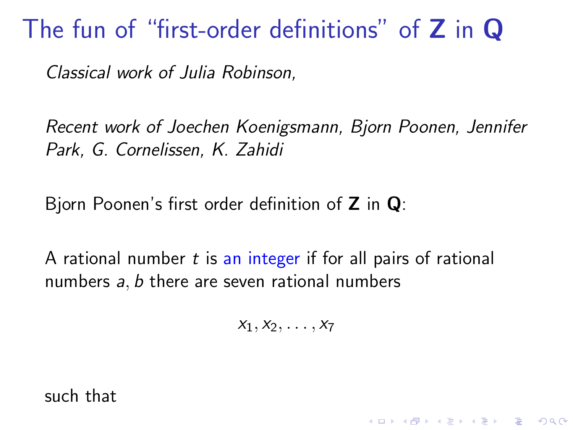### The fun of "first-order definitions" of **Z** in **Q**

Classical work of Julia Robinson,

Recent work of Joechen Koenigsmann, Bjorn Poonen, Jennifer Park, G. Cornelissen, K. Zahidi

Bjorn Poonen's first order definition of  $Z$  in  $Q$ :

A rational number  $t$  is an integer if for all pairs of rational numbers a, b there are seven rational numbers

 $x_1, x_2, \ldots, x_7$ 

**KORK ERKER ADE YOUR** 

such that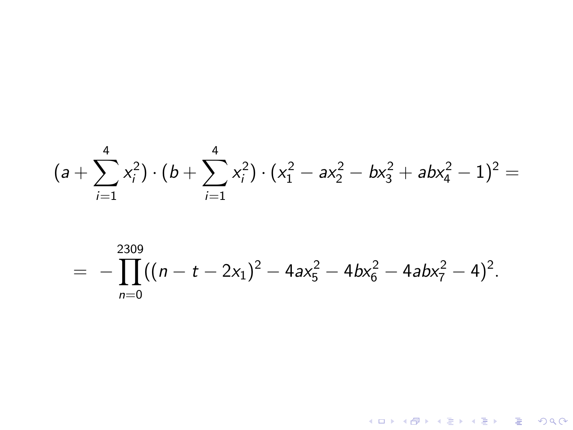$$
(a + \sum_{i=1}^{4} x_i^2) \cdot (b + \sum_{i=1}^{4} x_i^2) \cdot (x_1^2 - ax_2^2 - bx_3^2 + abx_4^2 - 1)^2 =
$$

$$
= - \prod_{n=0}^{2309} ((n - t - 2x_1)^2 - 4ax_5^2 - 4bx_6^2 - 4abx_7^2 - 4)^2.
$$

K ロ X (日) X (日) X (日) X (日) X (日) X (日) X (日) X (日) X (日) X (日)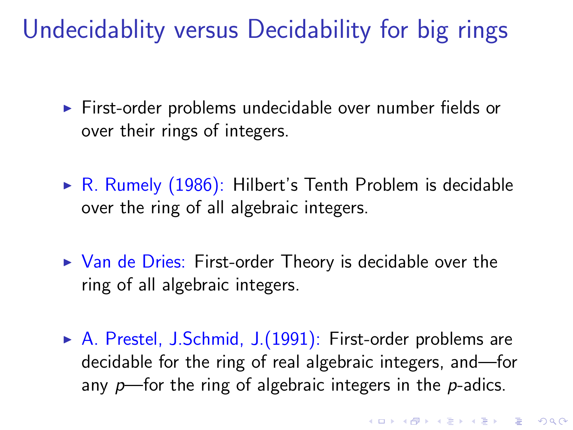# Undecidablity versus Decidability for big rings

- $\triangleright$  First-order problems undecidable over number fields or over their rings of integers.
- $\triangleright$  R. Rumely (1986): Hilbert's Tenth Problem is decidable over the ring of all algebraic integers.
- $\triangleright$  Van de Dries: First-order Theory is decidable over the ring of all algebraic integers.
- $\triangleright$  A. Prestel, J.Schmid, J.(1991): First-order problems are decidable for the ring of real algebraic integers, and—for any  $p$ —for the ring of algebraic integers in the  $p$ -adics.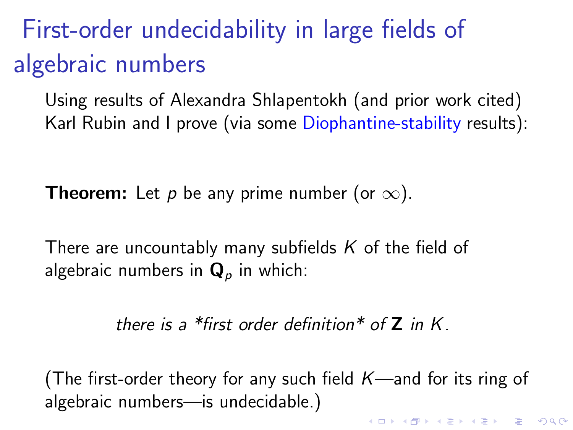# First-order undecidability in large fields of algebraic numbers

Using results of Alexandra Shlapentokh (and prior work cited) Karl Rubin and I prove (via some Diophantine-stability results):

**Theorem:** Let p be any prime number (or  $\infty$ ).

There are uncountably many subfields  $K$  of the field of algebraic numbers in  $\mathbf{Q}_p$  in which:

there is a \*first order definition\* of  $Z$  in  $K$ .

(The first-order theory for any such field  $K$ —and for its ring of algebraic numbers—is undecidable.)

4 D > 4 P + 4 B + 4 B + B + 9 Q O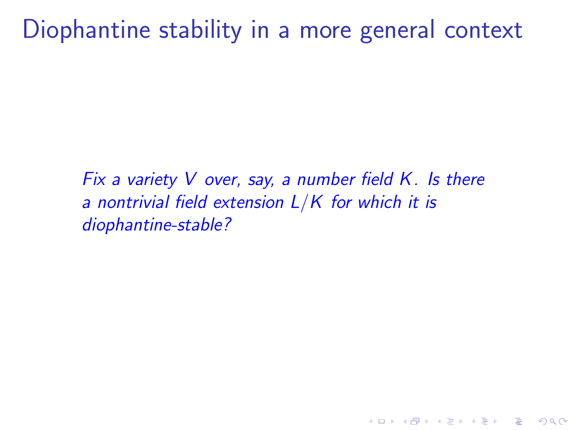### Diophantine stability in a more general context

Fix a variety V over, say, a number field  $K$ . Is there a nontrivial field extension  $L/K$  for which it is diophantine-stable?

**KORK ERKER ADE YOUR**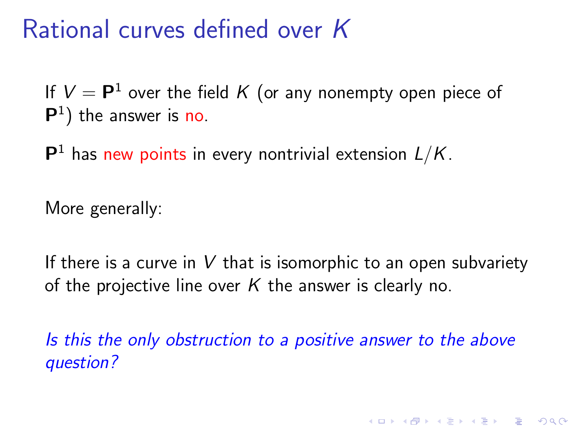### Rational curves defined over K

If  $V = \mathsf{P}^1$  over the field  $K$  (or any nonempty open piece of  $P<sup>1</sup>$ ) the answer is no.

 $\mathsf{P}^1$  has new points in every nontrivial extension  $L/K$ .

More generally:

If there is a curve in  $V$  that is isomorphic to an open subvariety of the projective line over  $K$  the answer is clearly no.

Is this the only obstruction to a positive answer to the above question?

**K ロ ▶ K @ ▶ K 할 X X 할 X → 할 X → 9 Q Q ^**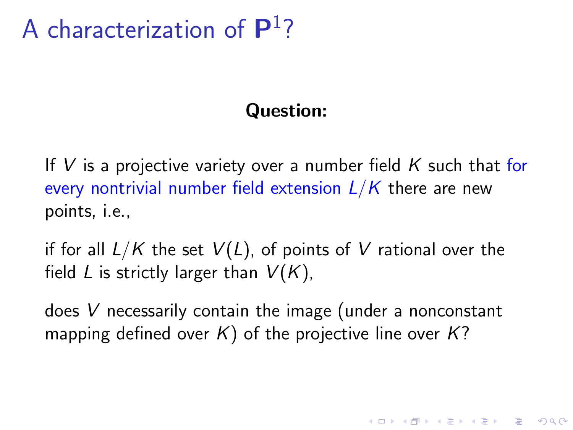# A characterization of  $\mathsf{P}^1$ ?

#### Question:

If V is a projective variety over a number field  $K$  such that for every nontrivial number field extension  $L/K$  there are new points, i.e.,

if for all  $L/K$  the set  $V(L)$ , of points of V rational over the field L is strictly larger than  $V(K)$ ,

does V necessarily contain the image (under a nonconstant mapping defined over  $K$ ) of the projective line over  $K$ ?

**KORKAR KERKER EL VOLO**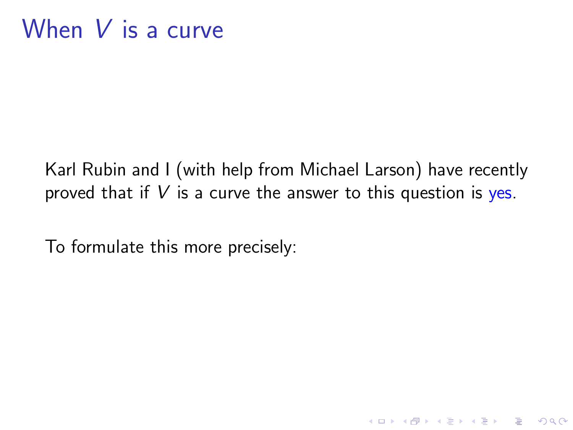Karl Rubin and I (with help from Michael Larson) have recently proved that if  $V$  is a curve the answer to this question is yes.

K ロ ▶ K @ ▶ K 할 > K 할 > 1 할 > 1 이익어

To formulate this more precisely: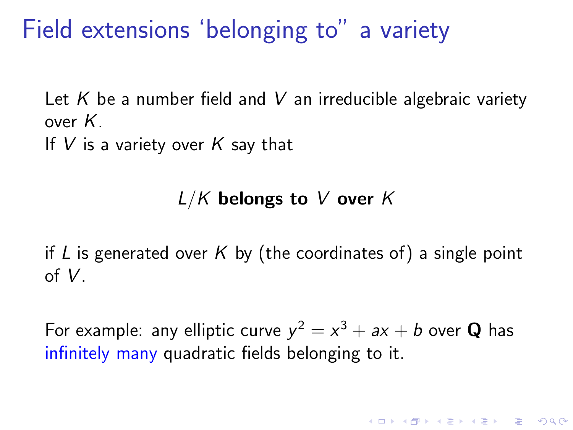Field extensions 'belonging to" a variety

Let K be a number field and V an irreducible algebraic variety over K.

If  $V$  is a variety over  $K$  say that

#### $L/K$  belongs to V over K

if L is generated over K by (the coordinates of) a single point of V.

For example: any elliptic curve  $y^2 = x^3 + ax + b$  over **Q** has infinitely many quadratic fields belonging to it.

**K ロ ▶ K @ ▶ K 할 X X 할 X → 할 X → 9 Q Q ^**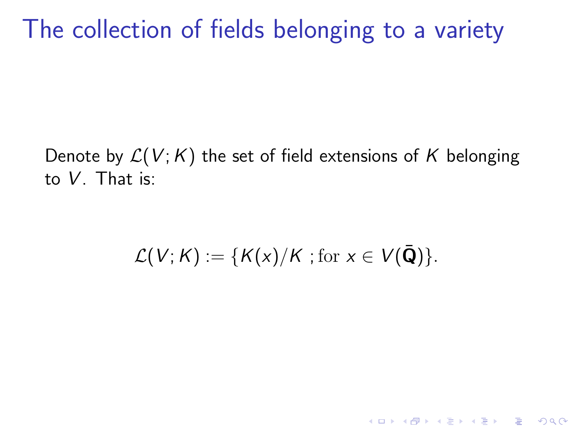The collection of fields belonging to a variety

Denote by  $\mathcal{L}(V; K)$  the set of field extensions of K belonging to V. That is:

$$
\mathcal{L}(V;K) := \{K(x)/K \text{ ; for } x \in V(\bar{\mathbf{Q}})\}.
$$

K ロ ▶ K @ ▶ K 할 > K 할 > 1 할 > 1 이익어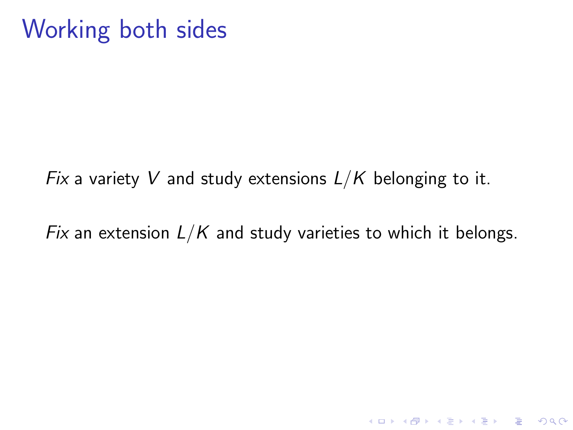# Working both sides

Fix a variety V and study extensions  $L/K$  belonging to it.

Fix an extension  $L/K$  and study varieties to which it belongs.

K ロ ▶ K @ ▶ K 할 > K 할 > 1 할 > 1 이익어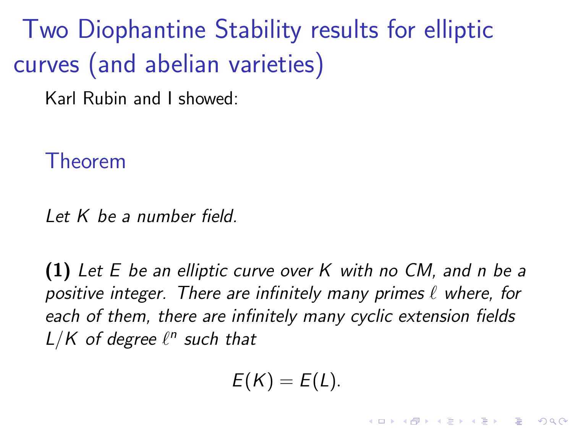Two Diophantine Stability results for elliptic curves (and abelian varieties)

Karl Rubin and I showed:

Theorem

Let  $K$  be a number field.

(1) Let E be an elliptic curve over K with no CM, and n be a positive integer. There are infinitely many primes  $\ell$  where, for each of them, there are infinitely many cyclic extension fields  $L/K$  of degree  $\ell^n$  such that

$$
E(K)=E(L).
$$

**KORK ERKER ADE YOUR**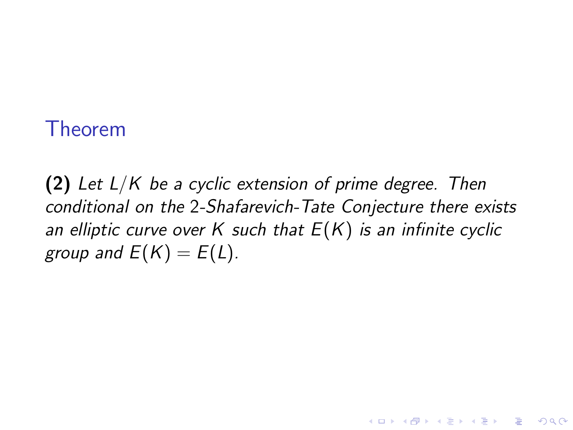#### <span id="page-45-0"></span>Theorem

(2) Let  $L/K$  be a cyclic extension of prime degree. Then conditional on the 2-Shafarevich-Tate Conjecture there exists an elliptic curve over K such that  $E(K)$  is an infinite cyclic group and  $E(K) = E(L)$ .

**KORK STRAIN A BAR SHOP**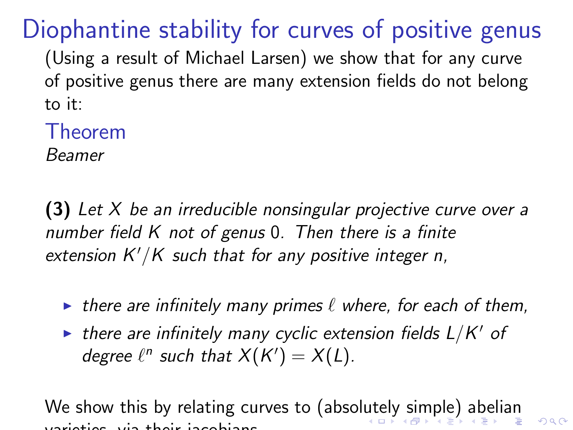# Diophantine stability for curves of positive genus

(Using a result of Michael Larsen) we show that for any curve of positive genus there are many extension fields do not belong to it:

Theorem

Beamer

 $(3)$  Let X be an irreducible nonsingular projective curve over a number field K not of genus 0. Then there is a finite extension  $K'/K$  such that for any positive integer n,

- In there are infinitely many primes  $\ell$  where, for each of them,
- $\blacktriangleright$  there are infinitely many cyclic extension fields  $L/K'$  of degree  $\ell^n$  such that  $X(K') = X(L)$ .

We show this by relating curves to (absol[ut](#page-45-0)[ely simple\) abelian](#page-0-0)  $2980$ varieties, via their jacobians.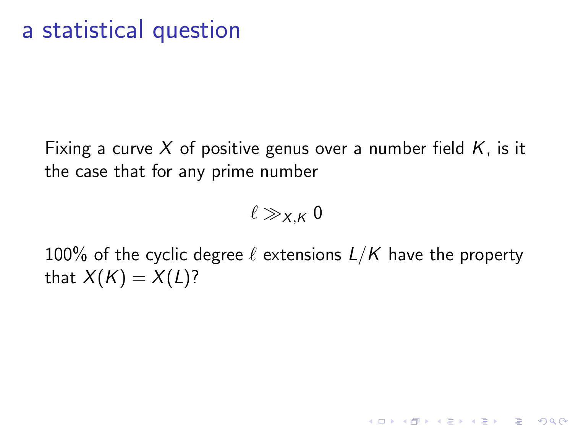### a statistical question

Fixing a curve X of positive genus over a number field  $K$ , is it the case that for any prime number

 $\ell \gg_{X,K} 0$ 

100% of the cyclic degree  $\ell$  extensions  $L/K$  have the property that  $X(K) = X(L)$ ?

**KORK ERKER ADE YOUR**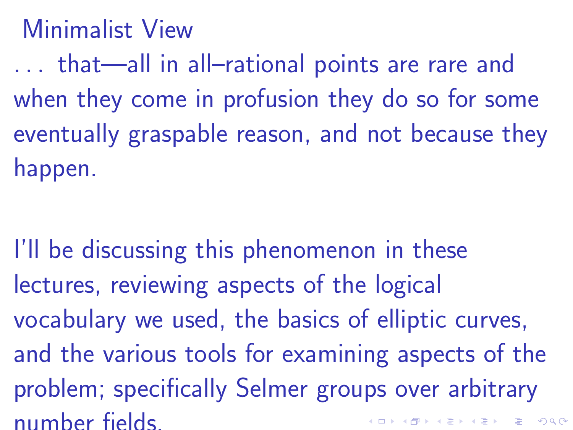### Minimalist View

. . . that—all in all–rational points are rare and when they come in profusion they do so for some eventually graspable reason, and not because they happen.

I'll be discussing this phenomenon in these lectures, reviewing aspects of the logical vocabulary we used, the basics of elliptic curves, and the various tools for examining aspects of the problem; specifically Selmer groups over arbitrary number fields.**K ロ ▶ K @ ▶ K 할 X X 할 X → 할 X → 9 Q Q ^**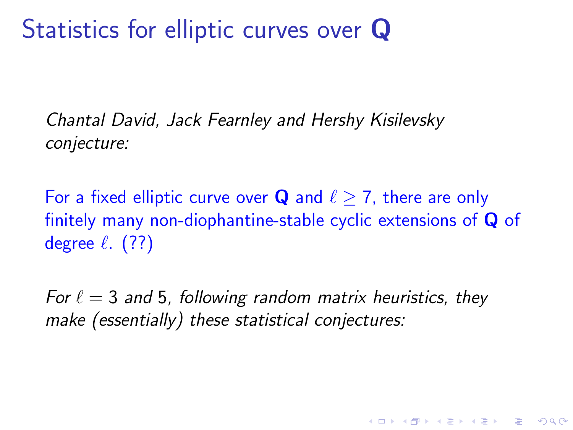# Statistics for elliptic curves over Q

Chantal David, Jack Fearnley and Hershy Kisilevsky conjecture:

For a fixed elliptic curve over **Q** and  $\ell > 7$ , there are only finitely many non-diophantine-stable cyclic extensions of Q of degree  $\ell$ . (??)

For  $\ell = 3$  and 5, following random matrix heuristics, they make (essentially) these statistical conjectures:

**KORK ERKER ADE YOUR**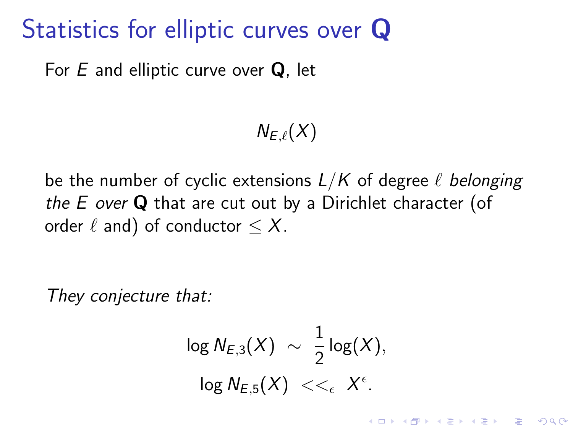### Statistics for elliptic curves over Q

For  $E$  and elliptic curve over  $Q$ , let

$$
N_{E,\ell}(X)
$$

be the number of cyclic extensions  $L/K$  of degree  $\ell$  belonging the  $E$  over  $Q$  that are cut out by a Dirichlet character (of order  $\ell$  and) of conductor  $\leq X$ .

They conjecture that:

$$
\log N_{E,3}(X) \sim \frac{1}{2} \log(X),
$$
  

$$
\log N_{E,5}(X) <<_{\epsilon} X^{\epsilon}.
$$

**KORK ERKER ADE YOUR**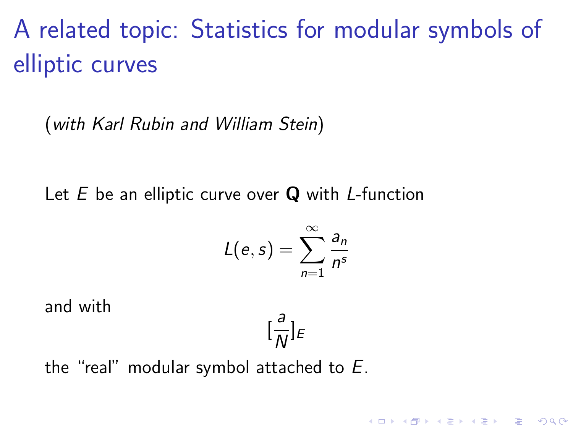A related topic: Statistics for modular symbols of elliptic curves

(with Karl Rubin and William Stein)

Let  $E$  be an elliptic curve over  $Q$  with *L*-function

$$
L(e,s)=\sum_{n=1}^{\infty}\frac{a_n}{n^s}
$$

and with

$$
[\frac{a}{N}]_E
$$

**KORK ERKER ADE YOUR** 

the "real" modular symbol attached to E.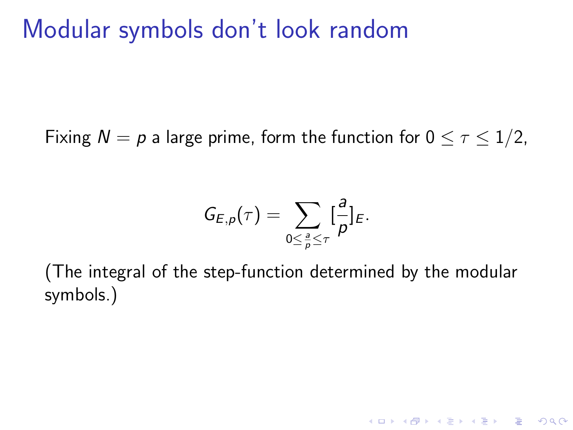### Modular symbols don't look random

Fixing  $N = p$  a large prime, form the function for  $0 \leq \tau \leq 1/2$ ,

$$
G_{E,p}(\tau)=\sum_{0\leq\frac{a}{p}\leq\tau}[\frac{a}{p}]_E.
$$

(The integral of the step-function determined by the modular symbols.)

K ロ ▶ K @ ▶ K 할 ▶ K 할 ▶ 이 할 → 9 Q @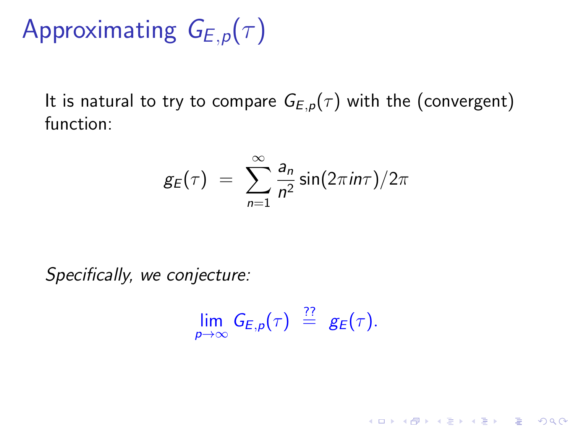# Approximating  $G_{E,p}(\tau)$

It is natural to try to compare  $G_{E,p}(\tau)$  with the (convergent) function:

$$
g_E(\tau) = \sum_{n=1}^{\infty} \frac{a_n}{n^2} \sin(2\pi i n \tau) / 2\pi
$$

Specifically, we conjecture:

$$
\lim_{p\to\infty} G_{E,p}(\tau) \stackrel{??}{=} g_E(\tau).
$$

K ロ ▶ K @ ▶ K 할 ▶ K 할 ▶ 이 할 → 9 Q @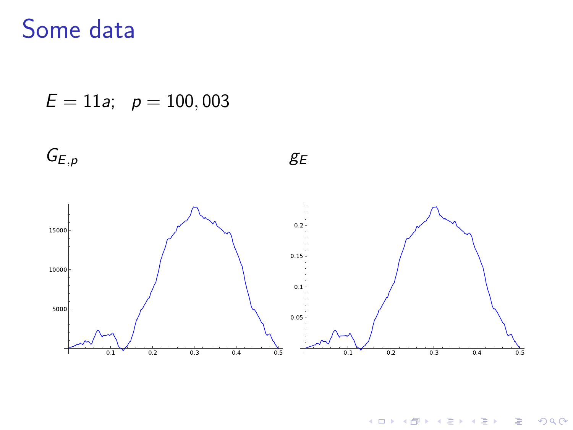### Some data

 $E = 11a$ ;  $p = 100,003$ 



イロン イ部ン イ君ン イ君ンシ

ミー  $299$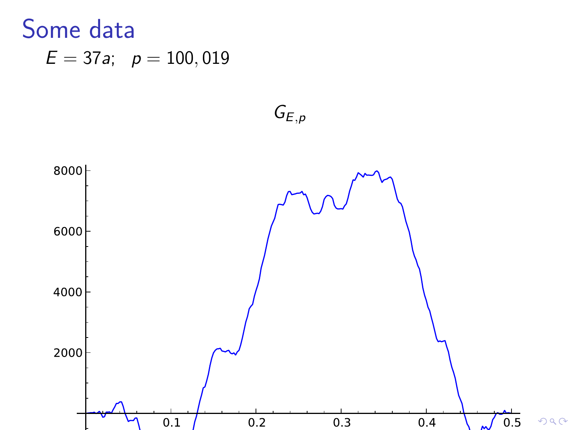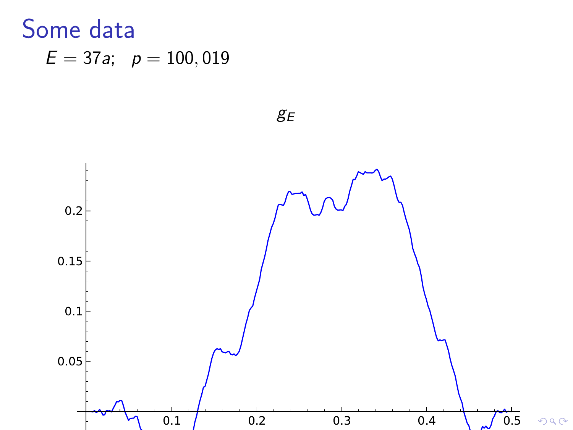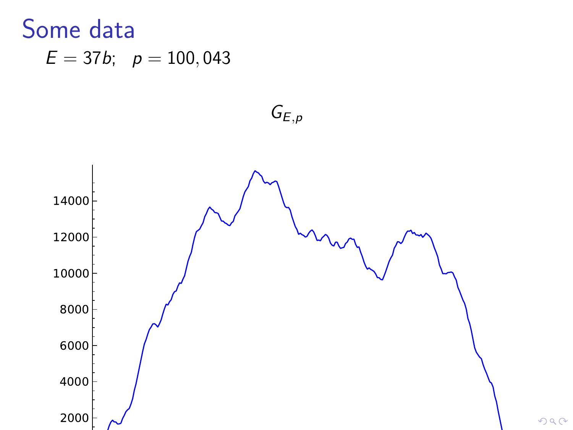